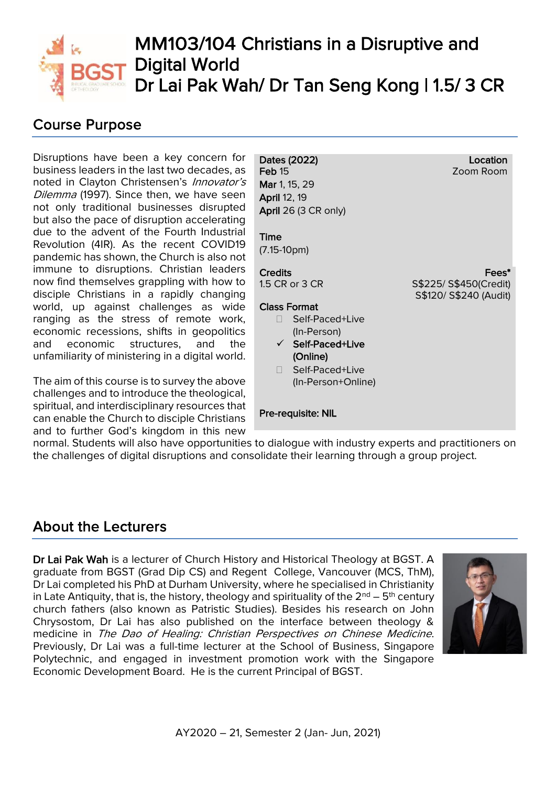

# MM103/104 Christians in a Disruptive and Digital World Dr Lai Pak Wah/ Dr Tan Seng Kong | 1.5/3 CR

## Course Purpose

Disruptions have been a key concern for business leaders in the last two decades, as noted in Clayton Christensen's Innovator's Dilemma (1997). Since then, we have seen not only traditional businesses disrupted but also the pace of disruption accelerating due to the advent of the Fourth Industrial Revolution (4IR). As the recent COVID19 pandemic has shown, the Church is also not immune to disruptions. Christian leaders now find themselves grappling with how to disciple Christians in a rapidly changing world, up against challenges as wide ranging as the stress of remote work, economic recessions, shifts in geopolitics and economic structures, and the unfamiliarity of ministering in a digital world.

The aim of this course is to survey the above challenges and to introduce the theological, spiritual, and interdisciplinary resources that can enable the Church to disciple Christians and to further God's kingdom in this new

Dates (2022) Feb 15 Mar 1, 15, 29 April 12, 19 April 26 (3 CR only) Time (7.15-10pm) Location Zoom Room **Credits** 1.5 CR or 3 CR Class Format □ Self-Paced+Live (In-Person) ✓ Self-Paced+Live (Online) □ Self-Paced+Live (In-Person+Online) Fees\* S\$225/ S\$450(Credit) S\$120/ S\$240 (Audit)

Pre-requisite: NIL

normal. Students will also have opportunities to dialogue with industry experts and practitioners on the challenges of digital disruptions and consolidate their learning through a group project.

## About the Lecturers

Dr Lai Pak Wah is a lecturer of Church History and Historical Theology at BGST. A graduate from BGST (Grad Dip CS) and Regent College, Vancouver (MCS, ThM), Dr Lai completed his PhD at Durham University, where he specialised in Christianity in Late Antiquity, that is, the history, theology and spirituality of the  $2<sup>nd</sup> - 5<sup>th</sup>$  century church fathers (also known as Patristic Studies). Besides his research on John Chrysostom, Dr Lai has also published on the interface between theology & medicine in The Dao of Healing: Christian Perspectives on Chinese Medicine. Previously, Dr Lai was a full-time lecturer at the School of Business, Singapore Polytechnic, and engaged in investment promotion work with the Singapore Economic Development Board. He is the current Principal of BGST.